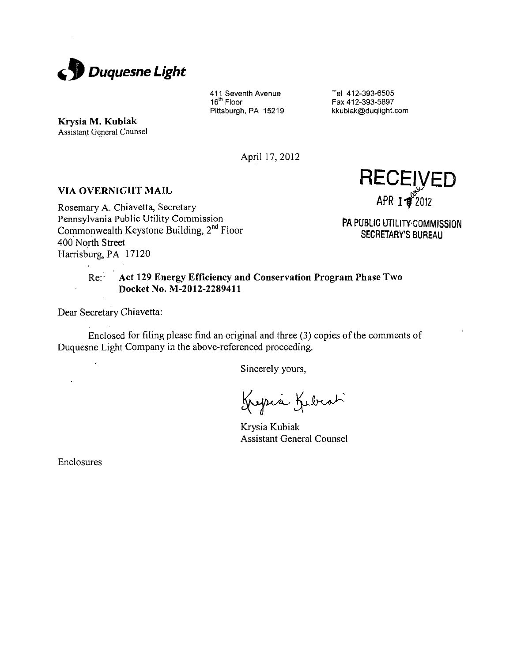

411 Seventh Avenue 16"' Floor Pittsburgh, PA 15219

Tel 412-393-6505 Fax 412-393-5897 kkubiak@duqlight.com

**Krysia M. Kubiak**  Assistant General Counsel

April 17,2012

## **VIA OVERNIGHT MAIL**

Rosemary A. Chiavetta, Secretary Pennsylvania Public Utility Commission Commonwealth Keystone Building, 2<sup>nd</sup> Floor 400 North Street Harrisburg, PA 17120

**RECEh/ED**  APR  $1\frac{1}{2}$ 2012

PA PUBLIC UTILITY COMMISSION SECRETARY'S BUREAU

# **Re: Act 129 Energy Efficiency and Conservation Program Phase Two DocketNo. M-2012-2289411**

Dear Secretary Chiavetta:

 $\overline{a}$ 

 $\mathcal{L}$ 

Enclosed for filing please find an original and three (3) copies of the comments of Duquesne Light Company in the above-referenced proceeding.

Sincerely yours.

Krysia Kebeat

Krysia Kubiak Assistant General Counsel

Enclosures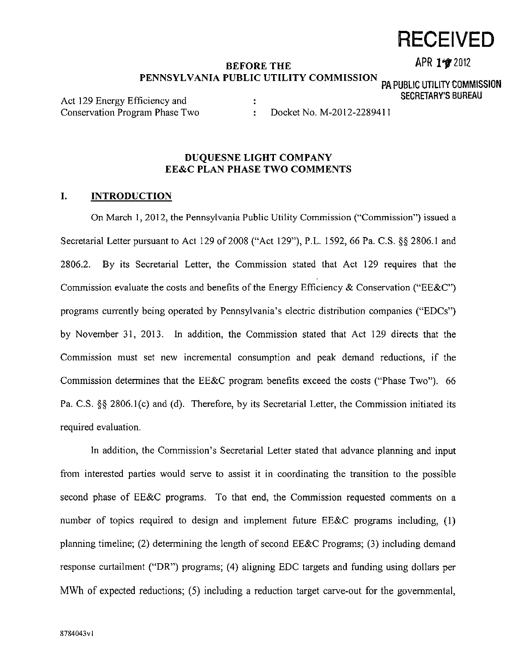# **BEFORE THE APR 197 2012** PENNSYLVANIA PUBLIC UTILITY COMMISSION <sub>na public utu itv commission</sub>

Act 129 Energy Efficiency and **:** SECRETARY'S BUREAU Conservation Program Phase Two : Docket No. M-2012-2289411

# **DUQUESNE LIGHT COMPANY EE&C PLAN PHASE TWO COMMENTS**

## **I. INTRODUCTION**

On March 1, 2012, the Pennsylvania Public Utility Commission ("Commission") issued a Secretarial Letter pursuant to Act 129 of 2008 ("Act 129"), P.L. 1592, 66 Pa. C.S. §§ 2806.1 and 2806.2. By its Secretarial Letter, the Commission stated that Act 129 requires that the Commission evaluate the costs and benefits of the Energy Efficiency & Conservation ("EE&C") programs currently being operated by Pennsylvania's electric distribution companies ("EDCs") by November 31, 2013. In addition, the Commission stated that Act 129 directs that the Commission must set new incremental consumption and peak demand reductions, if the Commission determines that the EE&C program benefits exceed the costs ("Phase Two"). 66 Pa. C.S. §§ 2806.1(c) and (d). Therefore, by its Secretarial Letter, the Commission initiated its required evaluation.

In addition, the Commission's Secretarial Letter stated that advance planning and input from interested parties would serve to assist it in coordinating the transition to the possible second phase of EE&C programs. To that end, the Commission requested comments on a number of topics required to design and implement future EE&C programs including, (1) planning timeline; (2) determining the length of second EE&C Programs; (3) including demand response curtailment ("DR") programs; (4) aligning EDC targets and funding using dollars per MWh of expected reductions; (5) including a reduction target carve-out for the governmental,

# **RECEIVED**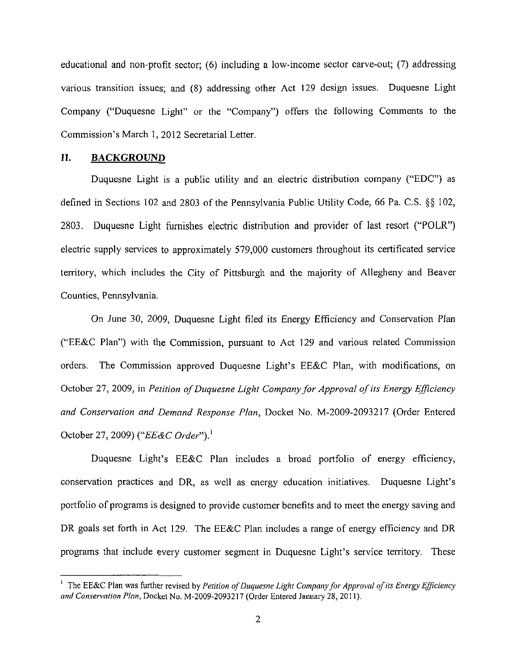**educational and non-profit sector; (6) including a low-income sector carve-out; (7) addressing various transition issues; and (8) addressing other Act 129 design issues. Duquesne Light Company ("Duquesne Light" or the "Company") offers the following Comments to the Commission's March 1, 2012 Secretarial Letter.** 

#### **II. BACKGROUND**

Duquesne Light is a public utility and an electric distribution company ("EDC") as defined in Sections 102 and 2803 of the Pennsylvania Public Utility Code, 66 Pa. C.S. §§ 102, 2803. Duquesne Light furnishes electric distribution and provider of last resort ("POLR") electric supply services to approximately 579,000 customers throughout its certificated service territory, which includes the City of Pittsburgh and the majority of Allegheny and Beaver Counties, Pennsylvania.

*On June 30, 2009, Duquesne Light filed its Energy Efficiency and Conservation Plan ("EE&C Plan") with the Commission, pursuant to Act 129 and various related Commission orders. The Commission approved Duquesne Light's EE&C Plan, with modifications, on October 27, 2009, in Petition of Duquesne Light Company for Approval of its Energy Efficiency and Consen'ation and Demand Response Plan, Docket No. M-2009-2093217 (Order Entered October 27, 2009) {"EE&C Order").<sup>1</sup>*

Duquesne Light's EE&C Plan includes a broad portfolio of energy efficiency, conservation practices and DR, as well as energy education initiatives. Duquesne Light's portfolio of programs is designed to provide customer benefits and to meet the energy saving and DR goals set forth in Act 129. The EE&C Plan includes a range of energy efficiency and DR programs that include every customer segment in Duquesne Light's service territory. These

<sup>&</sup>lt;sup>1</sup> The EE&C Plan was further revised by Petition of Duquesne Light Company for Approval of its Energy Efficiency and Conservation Plan, Docket No. M-2009-2093217 (Order Entered January 28, 2011).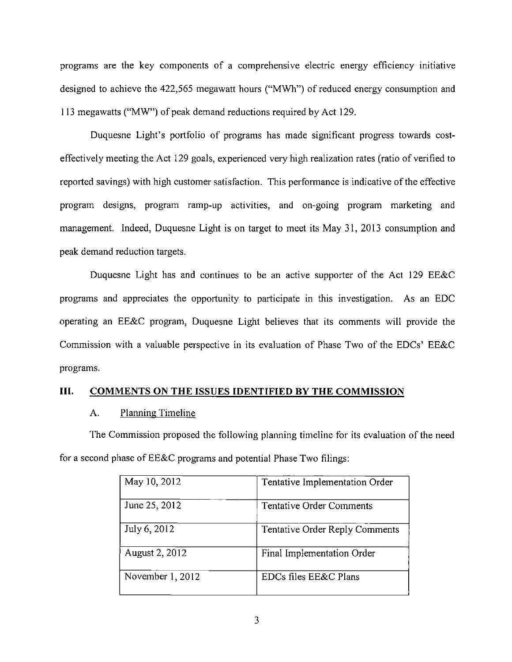programs are the key components of a comprehensive electric energy efficiency initiative designed to achieve the 422,565 megawatt hours ("MWh") of reduced energy consumption and 113 megawatts ("MW") of peak demand reductions required by Act 129.

Duquesne Light's portfolio of programs has made significant progress towards costeffectively meeting the Act 129 goals, experienced very high realization rates (ratio of verified to reported savings) with high customer satisfaction. This performance is indicative of the effective program designs, program ramp-up activities, and on-going program marketing and management. Indeed, Duquesne Light is on target to meet its May 31, 2013 consumption and peak demand reduction targets.

Duquesne Light has and continues to be an active supporter of the Act 129 EE&C programs and appreciates the opportunity to participate in this investigation. As an EDC operating an EE&C program, Duquesne Light believes that its comments will provide the Commission with a valuable perspective in its evaluation of Phase Two of the EDCs' EE&C programs.

# **III. COMMENTS ON THE ISSUES IDENTIFIED BY THE COMMISSION**

#### A. Planning Timeline

The Commission proposed the following planning timeline for its evaluation of the need for a second phase of EE&C programs and potential Phase Two filings:

| May 10, 2012     | Tentative Implementation Order |
|------------------|--------------------------------|
| June 25, 2012    | Tentative Order Comments       |
| July 6, 2012     | Tentative Order Reply Comments |
| August 2, 2012   | Final Implementation Order     |
| November 1, 2012 | EDCs files EE&C Plans          |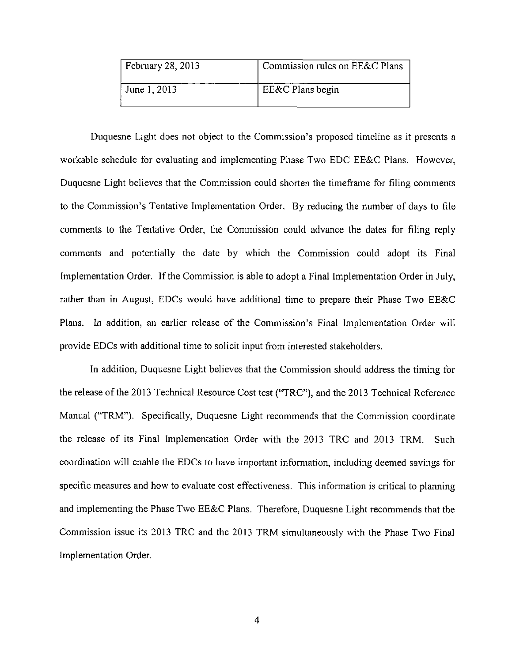| February 28, 2013 | Commission rules on EE&C Plans |
|-------------------|--------------------------------|
| June 1, 2013      | EE&C Plans begin               |

Duquesne Light does not object to the Commission's proposed timeline as it presents a workable schedule for evaluating and implementing Phase Two EDC EE&C Plans. However, Duquesne Light believes that the Commission could shorten the timeframe for filing comments to the Commission's Tentative Implementation Order. By reducing the number of days to file comments to the Tentative Order, the Commission could advance the dates for filing reply comments and potentially the date by which the Commission could adopt its Final Implementation Order. If the Commission is able to adopt a Final Implementation Order in July, rather than in August, EDCs would have additional time to prepare their Phase Two EE&C Plans. In addition, an earlier release of the Commission's Final Implementation Order will provide EDCs with additional time to solicit input from interested stakeholders.

In addition, Duquesne Light believes that the Commission should address the timing for the release of the 2013 Technical Resource Cost test ("TRC"), and the 2013 Technical Reference Manual ("TRM"). Specifically, Duquesne Light recommends that the Commission coordinate the release of its Final Implementation Order with the 2013 TRC and 2013 TRM. Such coordination will enable the EDCs to have important information, including deemed savings for specific measures and how to evaluate cost effectiveness. This information is critical to planning and implementing the Phase Two EE&C Plans. Therefore, Duquesne Light recommends that the Commission issue its 2013 TRC and the 2013 TRM simultaneously with the Phase Two Final Implementation Order.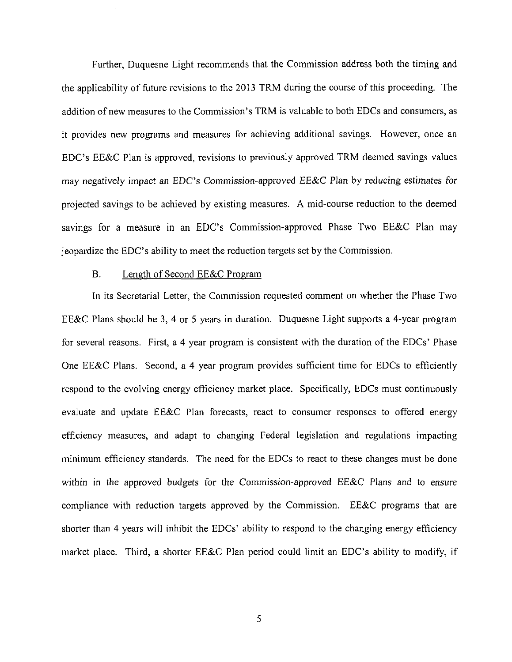Further, Duquesne Light recommends that the Commission address both the timing and the applicability of future revisions to the 2013 TRM during the course of this proceeding. The addition of new measures to the Commission's TRM is valuable to both EDCs and consumers, as it provides new programs and measures for achieving additional savings. However, once an EDC's EE&C Plan is approved, revisions to previously approved TRM deemed savings values may negatively impact an EDC's Commission-approved EE&C Plan by reducing estimates for projected savings to be achieved by existing measures. A mid-course reduction to the deemed savings for a measure in an EDC's Commission-approved Phase Two EE&C Plan may jeopardize the EDC's ability to meet the reduction targets set by the Commission.

#### B. Length of Second EE&C Program

In its Secretarial Letter, the Commission requested comment on whether the Phase Two EE&C Plans should be 3, 4 or 5 years in duration. Duquesne Light supports a 4-year program for several reasons. First, a 4 year program is consistent with the duration of the EDCs' Phase One EE&C Plans. Second, a 4 year program provides sufficient time for EDCs to efficiently respond to the evolving energy efficiency market place. Specifically, EDCs must continuously evaluate and update EE&C Plan forecasts, react to consumer responses to offered energy efficiency measures, and adapt to changing Federal legislation and regulations impacting minimum efficiency standards. The need for the EDCs to react to these changes must be done within in the approved budgets for the Commission-approved EE&C Plans and to ensure compliance with reduction targets approved by the Commission. EE&C programs that are shorter than 4 years will inhibit the EDCs' ability to respond to the changing energy efficiency market place. Third, a shorter EE&C Plan period could limit an EDC's ability to modify, if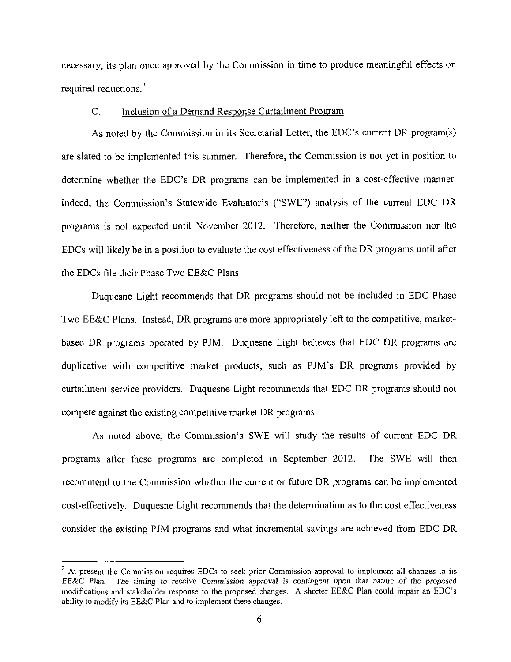necessary, its plan once approved by the Commission in time to produce meaningful effects on required reductions.<sup>2</sup>

#### C. Inclusion of a Demand Response Curtailment Program

As noted by the Commission in its Secretarial Letter, the EDC's current DR program(s) are slated to be implemented this summer. Therefore, the Commission is not yet in position to determine whether the EDC's DR programs can be implemented in a cost-effective manner. Indeed, the Commission's Statewide Evaluator's ("SWE") analysis of the current EDC DR programs is not expected until November 2012. Therefore, neither the Commission nor the EDCs will likely be in a position to evaluate the cost effectiveness of the DR programs until after the EDCs file their Phase Two EE&C Plans.

Duquesne Light recommends that DR programs should not be included in EDC Phase Two EE&C Plans. Instead, DR programs are more appropriately left to the competitive, marketbased DR programs operated by PJM. Duquesne Light believes that EDC DR programs are duplicative with competitive market products, such as PJM's DR programs provided by curtailment service providers. Duquesne Light recommends that EDC DR programs should not compete against the existing competitive market DR programs.

As noted above, the Commission's SWE will study the results of current EDC DR programs after these programs are completed in September 2012. The SWE will then recommend to the Commission whether the current or future DR programs can be implemented cost-effectively. Duquesne Light recommends that the determination as to the cost effectiveness consider the existing PJM programs and what incremental savings are achieved from EDC DR

<sup>&</sup>lt;sup>2</sup> At present the Commission requires EDCs to seek prior Commission approval to implement all changes to its EE&C Plan. The timing to receive Commission approval is contingent upon that nature of the proposed modifications and stakeholder response to the proposed changes. A shorter EE&C Plan could impair an EDC's ability to modify its EE&C Plan and to implement these changes.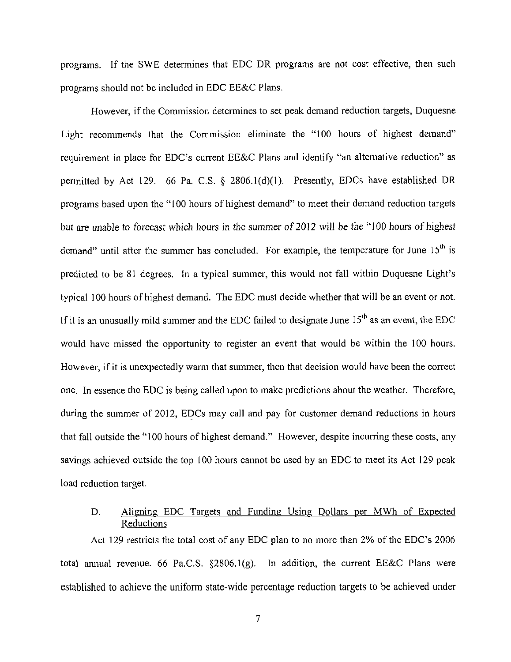programs. If the SWE determines that EDC DR programs are not cost effective, then such programs should not be included in EDC EE&C Plans.

However, if the Commission determines to set peak demand reduction targets, Duquesne Light recommends that the Commission eliminate the "100 hours of highest demand" requirement in place for EDC's current EE&C Plans and identify "an alternative reduction" as permitted by Act 129. 66 Pa. C.S. § 2806.1(d)(1). Presently, EDCs have established DR programs based upon the "100 hours of highest demand" to meet their demand reduction targets but are unable to forecast which hours in the summer of 2012 will be the "100 hours of highest demand" until after the summer has concluded. For example, the temperature for June  $15<sup>th</sup>$  is predicted to be 81 degrees. In a typical summer, this would not fall within Duquesne Light's typical 100 hours of highest demand. The EDC must decide whether that will be an event or not. If it is an unusually mild summer and the EDC failed to designate June  $15<sup>th</sup>$  as an event, the EDC would have missed the opportunity to register an event that would be within the 100 hours. However, if it is unexpectedly warm that summer, then that decision would have been the correct one. In essence the EDC is being called upon to make predictions about the weather. Therefore, during the summer of 2012, EDCs may call and pay for customer demand reductions in hours that fall outside the "100 hours of highest demand." However, despite incurring these costs, any savings achieved outside the top 100 hours cannot be used by an EDC to meet its Act 129 peak load reduction target.

# D. Aligning EDC Targets and Funding Using Dollars per MWh of Expected Reductions

Act 129 restricts the total cost of any EDC plan to no more than 2% of the EDC's 2006 total annual revenue. 66 Pa.C.S. §2806.1(g). In addition, the current EE&C Plans were established to achieve the uniform state-wide percentage reduction targets to be achieved under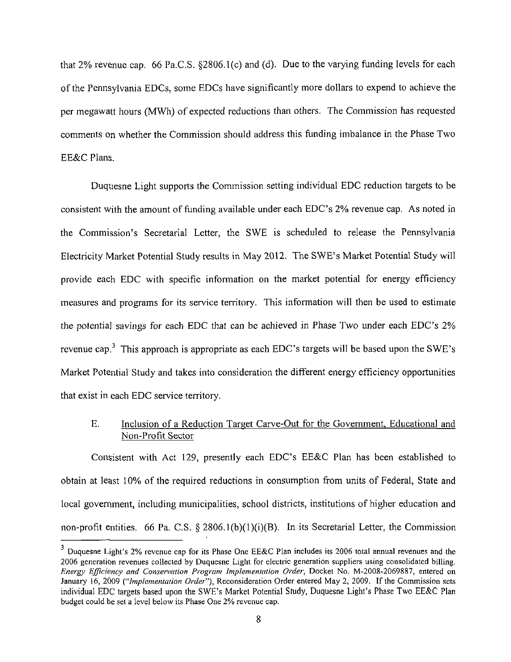that 2% revenue cap. 66 Pa.C.S. §2806.1(c) and (d). Due to the varying funding levels for each of the Pennsylvania EDCs, some EDCs have significantly more dollars to expend to achieve the per megawatt hours (MWh) of expected reductions than others. The Commission has requested comments on whether the Commission should address this funding imbalance in the Phase Two EE&C Plans.

Duquesne Light supports the Commission setting individual EDC reduction targets to be consistent with the amount of funding available under each EDC's 2% revenue cap. As noted in the Commission's Secretarial Letter, the SWE is scheduled to release the Pennsylvania Electricity Market Potential Study results in May 2012. The SWE's Market Potential Study will provide each EDC with specific information on the market potential for energy efficiency measures and programs for its service territory. This information will then be used to estimate the potential savings for each EDC that can be achieved in Phase Two under each EDC's  $2\%$ revenue cap.<sup>3</sup> This approach is appropriate as each EDC's targets will be based upon the SWE's Market Potential Study and takes into consideration the different energy efficiency opportunities that exist in each EDC service territory.

# E. Inclusion of a Reduction Target Carve-Out for the Government, Educational and Non-Profit Sector

Consistent with Act 129, presently each EDC's EE&C Plan has been established to obtain at least 10% of the required reductions in consumption from units of Federal, State and local government, including municipalities, school districts, institutions of higher education and non-profit entities. 66 Pa. C.S. § 2806.1(b)(1)(i)(B). In its Secretarial Letter, the Commission

 $3$  Duquesne Light's 2% revenue cap for its Phase One EE&C Plan includes its 2006 total annual revenues and the 2006 generation revenues collected by Duquesne Light for electric generation suppliers using consolidated billing. Energy Efficiency and Consen'ation Program Implementation Order, Docket No. M-2008-2069887, entered on January 16, 2009 ("Implementation Order"), Reconsideration Order entered May 2, 2009. If the Commission sets individual EDC targets based upon the SWE's Market Potential Study, Duquesne Light's Phase Two EE&C Plan budget could be set a level below its Phase One 2% revenue cap.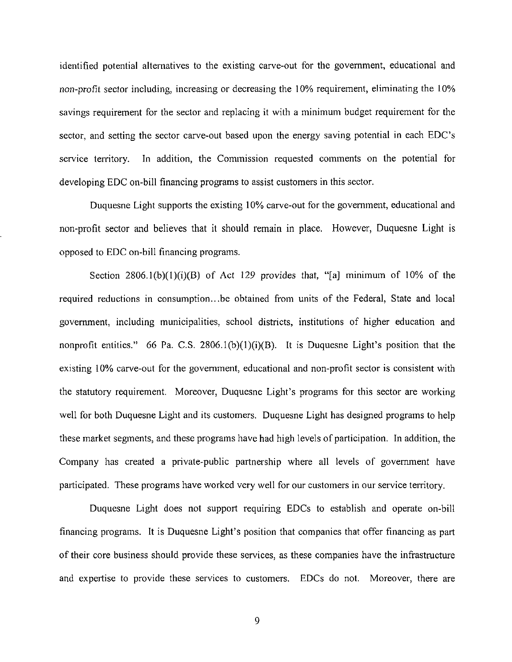identified potential alternatives to the existing carve-out for the government, educational and non-profit sector including, increasing or decreasing the 10% requirement, eliminating the 10% savings requirement for the sector and replacing it with a minimum budget requirement for the sector, and setting the sector carve-out based upon the energy saving potential in each EDC's service territory. In addition, the Commission requested comments on the potential for developing EDC on-bill financing programs to assist customers in this sector.

Duquesne Light supports the existing 10% carve-out for the government, educational and non-profit sector and believes that it should remain in place. However, Duquesne Light is opposed to EDC on-bill financing programs.

Section  $2806.1(b)(1)(i)(B)$  of Act 129 provides that, "[a] minimum of 10% of the required reductions in consumption...be obtained from units of the Federal, State and local government, including municipalities, school districts, institutions of higher education and nonprofit entities." 66 Pa. C.S. 2806.1(b)(1)(i)(B). It is Duquesne Light's position that the existing 10% carve-out for the government, educational and non-profit sector is consistent with the statutory requirement. Moreover, Duquesne Light's programs for this sector are working well for both Duquesne Light and its customers. Duquesne Light has designed programs to help these market segments, and these programs have had high levels of participation. In addition, the Company has created a private-public partnership where all levels of government have participated. These programs have worked very well for our customers in our service territory.

Duquesne Light does not support requiring EDCs to establish and operate on-bill financing programs. It is Duquesne Light's position that companies that offer financing as part of their core business should provide these services, as these companies have the infrastructure and expertise to provide these services to customers. EDCs do not. Moreover, there are

9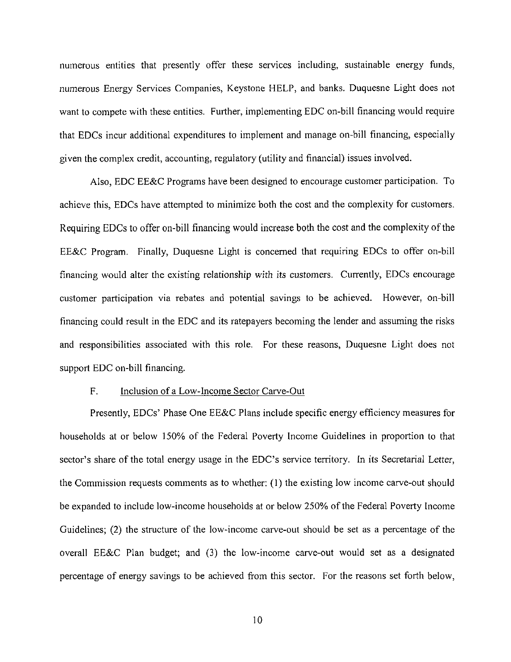numerous entities that presently offer these services including, sustainable energy funds, numerous Energy Services Companies, Keystone HELP, and banks. Duquesne Light does not want to compete with these entities. Further, implementing EDC on-bill financing would require that EDCs incur additional expenditures to implement and manage on-bill financing, especially given the complex credit, accounting, regulatory (utility and financial) issues involved.

Also, EDC EE&C Programs have been designed to encourage customer participation. To achieve this, EDCs have attempted to minimize both the cost and the complexity for customers. Requiring EDCs to offer on-bill financing would increase both the cost and the complexity of the EE&C Program. Finally, Duquesne Light is concerned that requiring EDCs to offer on-bill financing would alter the existing relationship with its customers. Currently, EDCs encourage customer participation via rebates and potential savings to be achieved. However, on-bill financing could result in the EDC and its ratepayers becoming the lender and assuming the risks and responsibilities associated with this role. For these reasons, Duquesne Light does not support EDC on-bill financing.

#### F. Inclusion of a Low-Income Sector Carve-Out

Presently, EDCs' Phase One EE&C Plans include specific energy efficiency measures for households at or below 150% of the Federal Poverty Income Guidelines in proportion to that sector's share of the total energy usage in the EDC's service territory. In its Secretarial Letter, the Commission requests comments as to whether: (1) the existing low income carve-out should be expanded to include low-income households at or below 250% of the Federal Poverty Income Guidelines; (2) the structure of the low-income carve-out should be set as a percentage of the overall EE&C Plan budget; and (3) the low-income carve-out would set as a designated percentage of energy savings to be achieved from this sector. For the reasons set forth below,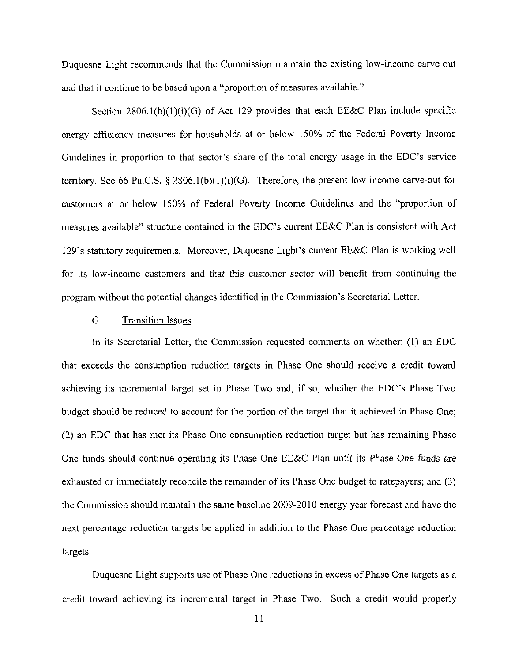Duquesne Light recommends that the Commission maintain the existing low-income carve out and that it continue to be based upon a "proportion of measures available."

Section  $2806.1(b)(1)(i)(G)$  of Act 129 provides that each EE&C Plan include specific energy efficiency measures for households at or below 150% of the Federal Poverty Income Guidelines in proportion to that sector's share of the total energy usage in the EDC's service territory. See 66 Pa.C.S.  $\S$  2806.1(b)(1)(i)(G). Therefore, the present low income carve-out for customers at or below 150% of Federal Poverty Income Guidelines and the "proportion of measures available" structure contained in the EDC's current  $EExC$  Plan is consistent with Act 129's statutory requirements. Moreover, Duquesne Light's current EE&C Plan is working well for its low-income customers and that this customer sector will benefit from continuing the program without the potential changes identified in the Commission's Secretarial Letter.

#### G. Transition Issues

In its Secretarial Letter, the Commission requested comments on whether: (1) an EDC that exceeds the consumption reduction targets in Phase One should receive a credit toward achieving its incremental target set in Phase Two and, if so, whether the EDC's Phase Two budget should be reduced to account for the portion of the target that it achieved in Phase One; (2) an EDC that has met its Phase One consumption reduction target but has remaining Phase One funds should continue operating its Phase One EE&C Plan until its Phase One funds are exhausted or immediately reconcile the remainder of its Phase One budget to ratepayers; and (3) the Commission should maintain the same baseline 2009-2010 energy year forecast and have the next percentage reduction targets be applied in addition to the Phase One percentage reduction targets.

Duquesne Light supports use of Phase One reductions in excess of Phase One targets as a credit toward achieving its incremental target in Phase Two. Such a credit would properly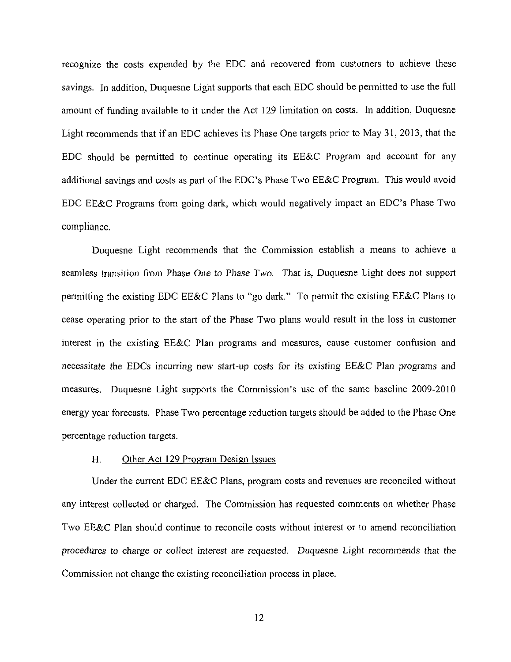recognize the costs expended by the EDC and recovered from customers to achieve these savings. In addition, Duquesne Light supports that each EDC should be permitted to use the full amount of funding available to it under the Act 129 limitation on costs. In addition, Duquesne Light recommends that if an EDC achieves its Phase One targets prior to May 31, 2013, that the EDC should be permitted to continue operating its EE&C Program and account for any additional savings and costs as part of the EDC's Phase Two EE&C Program. This would avoid EDC EE&C Programs from going dark, which would negatively impact an EDC's Phase Two compliance.

Duquesne Light recommends that the Commission establish a means to achieve a seamless transition from Phase One to Phase Two, That is, Duquesne Light does not support permitting the existing EDC EE&C Plans to "go dark." To permit the existing EE&C Plans to cease operating prior to the start of the Phase Two plans would result in the loss in customer interest in the existing EE&C Plan programs and measures, cause customer confusion and necessitate the EDCs incurring new start-up costs for its existing EE&C Plan programs and measures. Duquesne Light supports the Commission's use of the same baseline 2009-2010 energy year forecasts. Phase Two percentage reduction targets should be added to the Phase One percentage reduction targets.

#### H. Other Act 129 Program Design Issues

Under the current EDC EE&C Plans, program costs and revenues are reconciled without any interest collected or charged. The Commission has requested comments on whether Phase Two EE&C Plan should continue to reconcile costs without interest or to amend reconciliation procedures to charge or collect interest are requested. Duquesne Light recommends that the Commission not change the existing reconciliation process in place.

12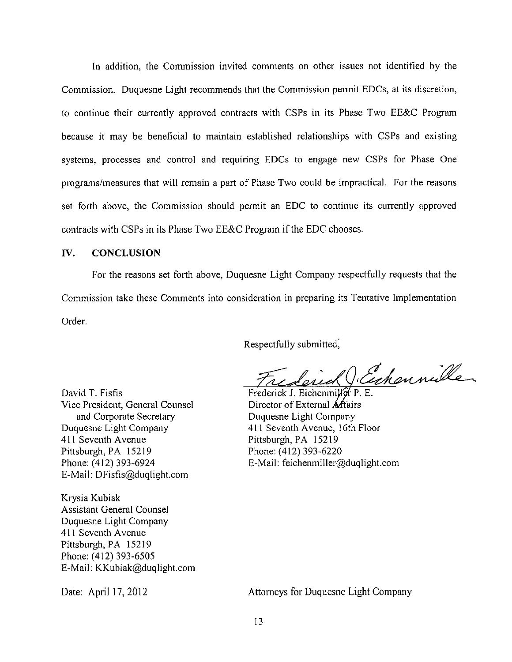In addition, the Commission invited comments on other issues not identified by the Commission. Duquesne Light recommends that the Commission permit EDCs, at its discretion, to continue their currently approved contracts with CSPs in its Phase Two EE&C Program because it may be beneficial to maintain established relationships with CSPs and existing systems, processes and control and requiring EDCs to engage new CSPs for Phase One programs/measures that will remain a part of Phase Two could be impractical. For the reasons set forth above, the Commission should permit an EDC to continue its currently approved contracts with CSPs in its Phase Two EE&C Program if the EDC chooses.

#### **IV. CONCLUSION**

For the reasons set forth above, Duquesne Light Company respectfully requests that the Commission take these Comments into consideration in preparing its Tentative Implementation Order.

Respectfully submitted,

Frederick Cechennille

Frederick J. Eichenmiller P. E. Director of External Affairs Duquesne Light Company 411 Seventh Avenue, 16th Floor Pittsburgh, PA 15219 Phone: (412)393-6220 E-Mail: feichenmiller@duqlight.com

David T. Fisfis Vice President, General Counsel and Corporate Secretary Duquesne Light Company 411 Seventh Avenue Pittsburgh, PA 15219 Phone: (412) 393-6924 E-Mail: DFisfis@duqlight.com

Krysia Kubiak Assistant General Counsel Duquesne Light Company 411 Seventh Avenue Pittsburgh, PA 15219 Phone: (412) 393-6505 E-Mail: KKubiak@duqlight.com

Date: April 17,2012 Attorneys for Duquesne Light Company